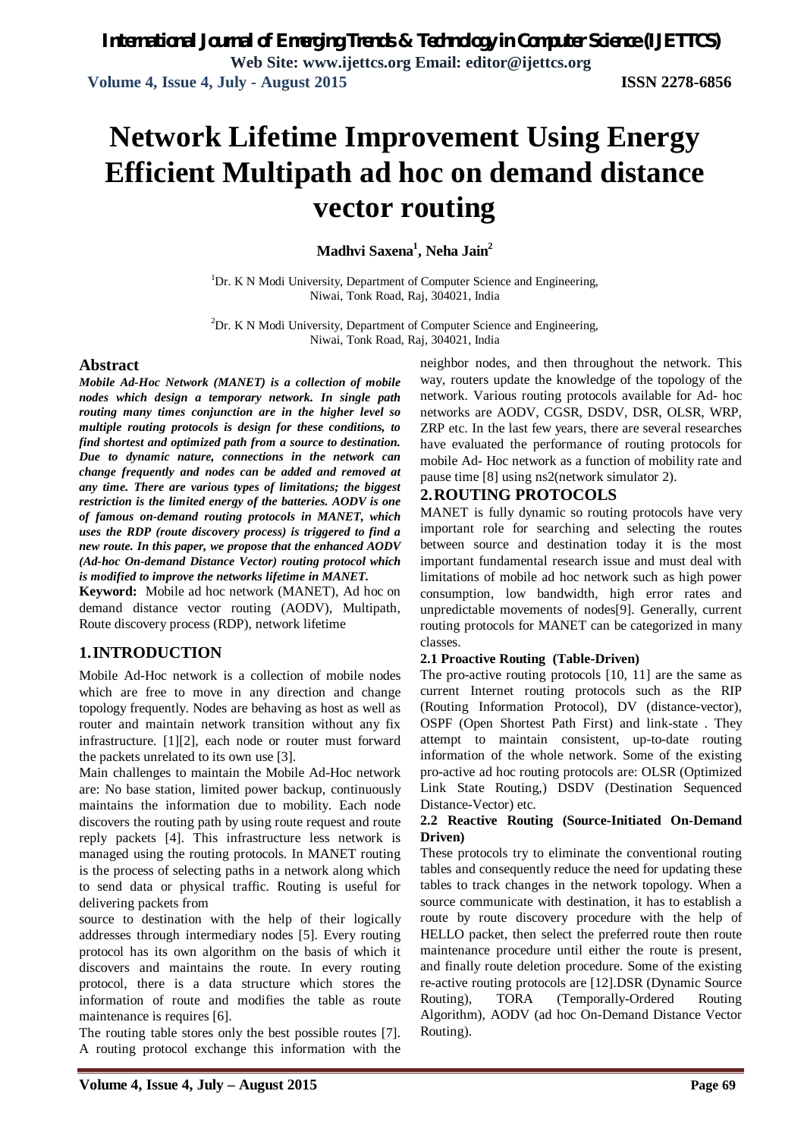# **Network Lifetime Improvement Using Energy Efficient Multipath ad hoc on demand distance vector routing**

**Madhvi Saxena<sup>1</sup> , Neha Jain<sup>2</sup>**

 $1$ Dr. K N Modi University, Department of Computer Science and Engineering, Niwai, Tonk Road, Raj, 304021, India

 ${}^{2}$ Dr. K N Modi University, Department of Computer Science and Engineering, Niwai, Tonk Road, Raj, 304021, India

#### **Abstract**

*Mobile Ad-Hoc Network (MANET) is a collection of mobile nodes which design a temporary network. In single path routing many times conjunction are in the higher level so multiple routing protocols is design for these conditions, to find shortest and optimized path from a source to destination. Due to dynamic nature, connections in the network can change frequently and nodes can be added and removed at any time. There are various types of limitations; the biggest restriction is the limited energy of the batteries. AODV is one of famous on-demand routing protocols in MANET, which uses the RDP (route discovery process) is triggered to find a new route. In this paper, we propose that the enhanced AODV (Ad-hoc On-demand Distance Vector) routing protocol which is modified to improve the networks lifetime in MANET.*

**Keyword:** Mobile ad hoc network (MANET), Ad hoc on demand distance vector routing (AODV), Multipath, Route discovery process (RDP), network lifetime

### **1.INTRODUCTION**

Mobile Ad-Hoc network is a collection of mobile nodes which are free to move in any direction and change topology frequently. Nodes are behaving as host as well as router and maintain network transition without any fix infrastructure. [1][2], each node or router must forward the packets unrelated to its own use [3].

Main challenges to maintain the Mobile Ad-Hoc network are: No base station, limited power backup, continuously maintains the information due to mobility. Each node discovers the routing path by using route request and route reply packets [4]. This infrastructure less network is managed using the routing protocols. In MANET routing is the process of selecting paths in a network along which to send data or physical traffic. Routing is useful for delivering packets from

source to destination with the help of their logically addresses through intermediary nodes [5]. Every routing protocol has its own algorithm on the basis of which it discovers and maintains the route. In every routing protocol, there is a data structure which stores the information of route and modifies the table as route maintenance is requires [6].

The routing table stores only the best possible routes [7]. A routing protocol exchange this information with the

neighbor nodes, and then throughout the network. This way, routers update the knowledge of the topology of the network. Various routing protocols available for Ad- hoc networks are AODV, CGSR, DSDV, DSR, OLSR, WRP, ZRP etc. In the last few years, there are several researches have evaluated the performance of routing protocols for mobile Ad- Hoc network as a function of mobility rate and pause time [8] using ns2(network simulator 2).

#### **2.ROUTING PROTOCOLS**

MANET is fully dynamic so routing protocols have very important role for searching and selecting the routes between source and destination today it is the most important fundamental research issue and must deal with limitations of mobile ad hoc network such as high power consumption, low bandwidth, high error rates and unpredictable movements of nodes[9]. Generally, current routing protocols for MANET can be categorized in many classes.

#### **2.1 Proactive Routing (Table-Driven)**

The pro-active routing protocols [10, 11] are the same as current Internet routing protocols such as the RIP (Routing Information Protocol), DV (distance-vector), OSPF (Open Shortest Path First) and link-state . They attempt to maintain consistent, up-to-date routing information of the whole network. Some of the existing pro-active ad hoc routing protocols are: OLSR (Optimized Link State Routing,) DSDV (Destination Sequenced Distance-Vector) etc.

#### **2.2 Reactive Routing (Source-Initiated On-Demand Driven)**

These protocols try to eliminate the conventional routing tables and consequently reduce the need for updating these tables to track changes in the network topology. When a source communicate with destination, it has to establish a route by route discovery procedure with the help of HELLO packet, then select the preferred route then route maintenance procedure until either the route is present, and finally route deletion procedure. Some of the existing re-active routing protocols are [12].DSR (Dynamic Source Routing), TORA (Temporally-Ordered Routing Algorithm), AODV (ad hoc On-Demand Distance Vector Routing).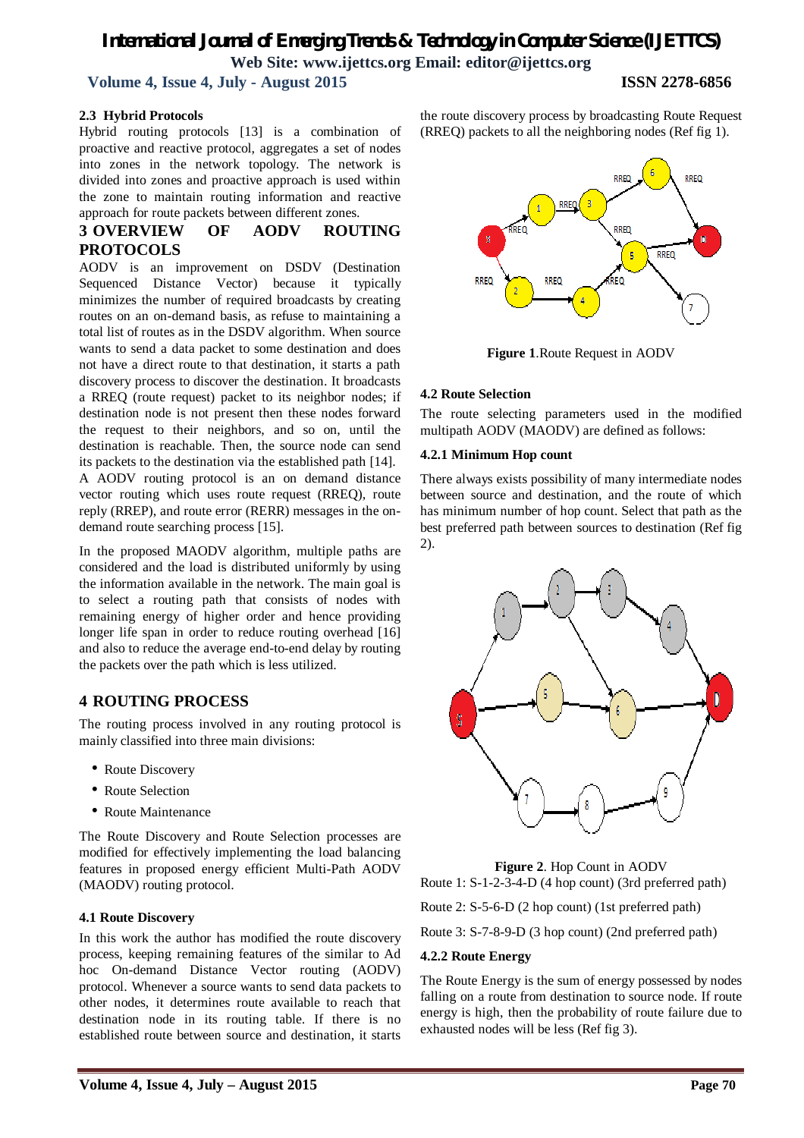# *International Journal of Emerging Trends & Technology in Computer Science (IJETTCS)* **Web Site: www.ijettcs.org Email: editor@ijettcs.org**

 **Volume 4, Issue 4, July - August 2015 ISSN 2278-6856**

#### **2.3 Hybrid Protocols**

Hybrid routing protocols [13] is a combination of proactive and reactive protocol, aggregates a set of nodes into zones in the network topology. The network is divided into zones and proactive approach is used within the zone to maintain routing information and reactive approach for route packets between different zones.

### **3 OVERVIEW OF AODV ROUTING PROTOCOLS**

AODV is an improvement on DSDV (Destination Sequenced Distance Vector) because it typically minimizes the number of required broadcasts by creating routes on an on-demand basis, as refuse to maintaining a total list of routes as in the DSDV algorithm. When source wants to send a data packet to some destination and does not have a direct route to that destination, it starts a path discovery process to discover the destination. It broadcasts a RREQ (route request) packet to its neighbor nodes; if destination node is not present then these nodes forward the request to their neighbors, and so on, until the destination is reachable. Then, the source node can send its packets to the destination via the established path [14]. A AODV routing protocol is an on demand distance vector routing which uses route request (RREQ), route reply (RREP), and route error (RERR) messages in the ondemand route searching process [15].

In the proposed MAODV algorithm, multiple paths are considered and the load is distributed uniformly by using the information available in the network. The main goal is to select a routing path that consists of nodes with remaining energy of higher order and hence providing longer life span in order to reduce routing overhead [16] and also to reduce the average end-to-end delay by routing the packets over the path which is less utilized.

### **4 ROUTING PROCESS**

The routing process involved in any routing protocol is mainly classified into three main divisions:

- Route Discovery
- Route Selection
- Route Maintenance

The Route Discovery and Route Selection processes are modified for effectively implementing the load balancing features in proposed energy efficient Multi-Path AODV (MAODV) routing protocol.

#### **4.1 Route Discovery**

In this work the author has modified the route discovery process, keeping remaining features of the similar to Ad hoc On-demand Distance Vector routing (AODV) protocol. Whenever a source wants to send data packets to other nodes, it determines route available to reach that destination node in its routing table. If there is no established route between source and destination, it starts

the route discovery process by broadcasting Route Request (RREQ) packets to all the neighboring nodes (Ref fig 1).



**Figure 1**.Route Request in AODV

#### **4.2 Route Selection**

The route selecting parameters used in the modified multipath AODV (MAODV) are defined as follows:

#### **4.2.1 Minimum Hop count**

There always exists possibility of many intermediate nodes between source and destination, and the route of which has minimum number of hop count. Select that path as the best preferred path between sources to destination (Ref fig 2).



**Figure 2**. Hop Count in AODV Route 1: S-1-2-3-4-D (4 hop count) (3rd preferred path)

Route 2: S-5-6-D (2 hop count) (1st preferred path)

Route 3: S-7-8-9-D (3 hop count) (2nd preferred path)

#### **4.2.2 Route Energy**

The Route Energy is the sum of energy possessed by nodes falling on a route from destination to source node. If route energy is high, then the probability of route failure due to exhausted nodes will be less (Ref fig 3).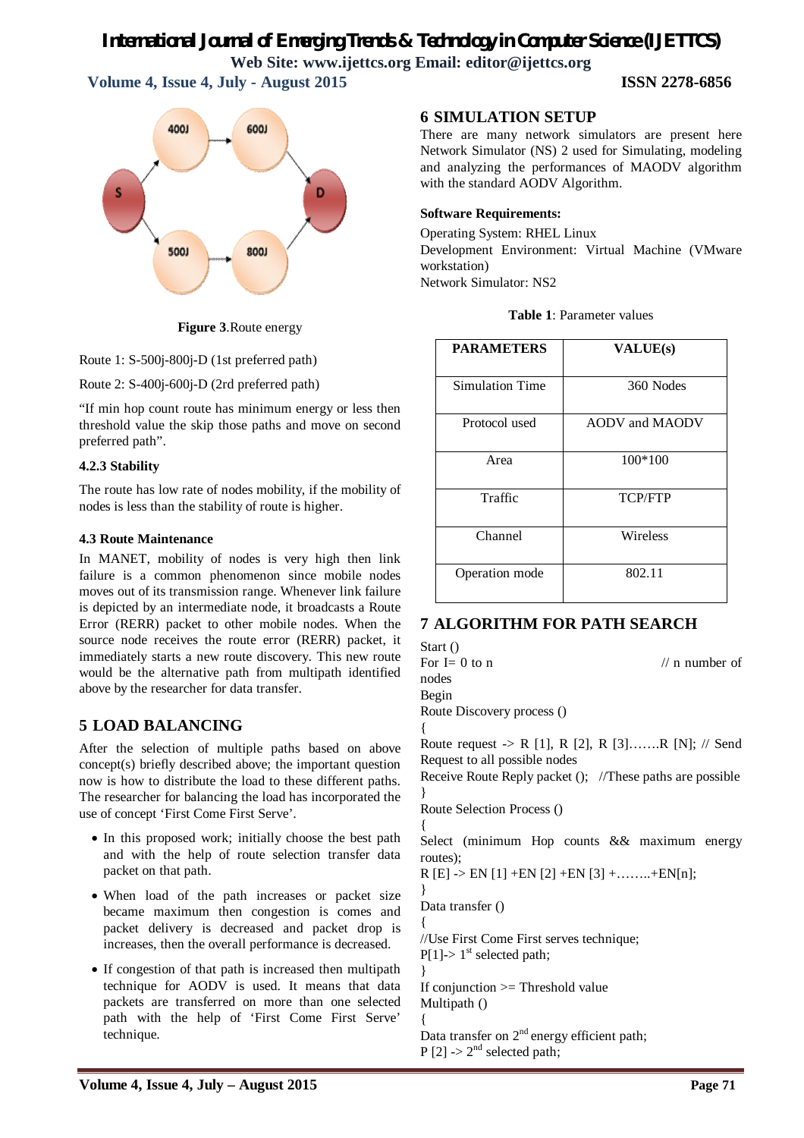# *International Journal of Emerging Trends & Technology in Computer Science (IJETTCS)*

**Web Site: www.ijettcs.org Email: editor@ijettcs.org** 

 **Volume 4, Issue 4, July - August 2015 ISSN 2278-6856**



**Figure 3**.Route energy

Route 1: S-500j-800j-D (1st preferred path)

Route 2: S-400j-600j-D (2rd preferred path)

"If min hop count route has minimum energy or less then threshold value the skip those paths and move on second preferred path".

#### **4.2.3 Stability**

The route has low rate of nodes mobility, if the mobility of nodes is less than the stability of route is higher.

#### **4.3 Route Maintenance**

In MANET, mobility of nodes is very high then link failure is a common phenomenon since mobile nodes moves out of its transmission range. Whenever link failure is depicted by an intermediate node, it broadcasts a Route Error (RERR) packet to other mobile nodes. When the source node receives the route error (RERR) packet, it immediately starts a new route discovery. This new route would be the alternative path from multipath identified above by the researcher for data transfer.

# **5 LOAD BALANCING**

After the selection of multiple paths based on above concept(s) briefly described above; the important question now is how to distribute the load to these different paths. The researcher for balancing the load has incorporated the use of concept 'First Come First Serve'.

- In this proposed work; initially choose the best path and with the help of route selection transfer data packet on that path.
- When load of the path increases or packet size became maximum then congestion is comes and packet delivery is decreased and packet drop is increases, then the overall performance is decreased.
- If congestion of that path is increased then multipath technique for AODV is used. It means that data packets are transferred on more than one selected path with the help of 'First Come First Serve' technique.

## **6 SIMULATION SETUP**

There are many network simulators are present here Network Simulator (NS) 2 used for Simulating, modeling and analyzing the performances of MAODV algorithm with the standard AODV Algorithm.

### **Software Requirements:**

Operating System: RHEL Linux Development Environment: Virtual Machine (VMware workstation) Network Simulator: NS2

|--|

| <b>PARAMETERS</b> | <b>VALUE(s)</b> |  |  |
|-------------------|-----------------|--|--|
| Simulation Time   | 360 Nodes       |  |  |
| Protocol used     | AODV and MAODV  |  |  |
| Area              | 100*100         |  |  |
| Traffic           | <b>TCP/FTP</b>  |  |  |
| Channel           | Wireless        |  |  |
| Operation mode    | 802.11          |  |  |

# **7 ALGORITHM FOR PATH SEARCH**

Start () For  $I = 0$  to n // n number of nodes Begin Route Discovery process () { Route request -> R [1], R [2], R [3]…….R [N]; // Send Request to all possible nodes Receive Route Reply packet (); //These paths are possible } Route Selection Process () { Select (minimum Hop counts && maximum energy routes);  $R [E] \rightarrow EN [1] + EN [2] + EN [3] + \dots + EN[n];$ } Data transfer () { //Use First Come First serves technique;  $P[1]$ -> 1<sup>st</sup> selected path; } If conjunction >= Threshold value Multipath () { Data transfer on  $2<sup>nd</sup>$  energy efficient path;  $P [2]$  ->  $2<sup>nd</sup>$  selected path;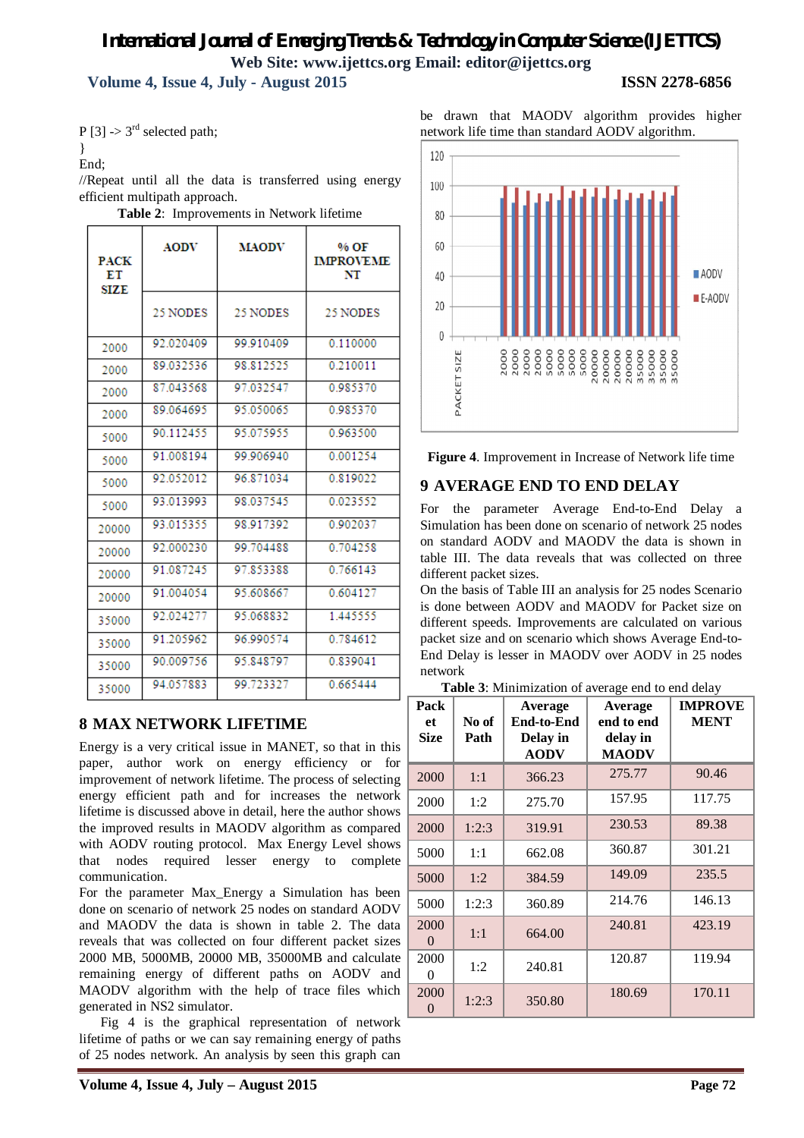# *International Journal of Emerging Trends & Technology in Computer Science (IJETTCS)* **Web Site: www.ijettcs.org Email: editor@ijettcs.org Volume 4, Issue 4, July - August 2015 ISSN 2278-6856**

 $P [3]$  -> 3<sup>rd</sup> selected path;

}

End;

//Repeat until all the data is transferred using energy efficient multipath approach.

| <b>PACK</b><br>ЕT<br>SIZE | <b>AODV</b> | <b>MAODV</b> | % OF<br><b>IMPROVEME</b><br>NT |
|---------------------------|-------------|--------------|--------------------------------|
|                           | 25 NODES    | 25 NODES     | 25 NODES                       |
| 2000                      | 92.020409   | 99.910409    | 0.110000                       |
| 2000                      | 89.032536   | 98.812525    | 0.210011                       |
| 2000                      | 87.043568   | 97.032547    | 0.985370                       |
| 2000                      | 89 064695   | 95.050065    | 0985370                        |
| 5000                      | 90.112455   | 95.075955    | 0.963500                       |
| 5000                      | 91 008194   | 99 906940    | 0.001254                       |
| 5000                      | 92.052012   | 96.871034    | 0.819022                       |
| 5000                      | 93.013993   | 98.037545    | 0.023552                       |
| 20000                     | 93.015355   | 98.917392    | 0.902037                       |
| 20000                     | 92.000230   | 99.704488    | 0.704258                       |
| 20000                     | 91.087245   | 97.853388    | 0.766143                       |
| 20000                     | 91 004054   | 95 608 667   | 0604127                        |
| 35000                     | 92.024277   | 95.068832    | 1.445555                       |
| 35000                     | 91.205962   | 96.990574    | 0.784612                       |
| 35000                     | 90.009756   | 95 848797    | 0.839041                       |
| 35000                     | 94.057883   | 99.723327    | 0.665444                       |

**Table 2**: Improvements in Network lifetime

### **8 MAX NETWORK LIFETIME**

Energy is a very critical issue in MANET, so that in this paper, author work on energy efficiency or for improvement of network lifetime. The process of selecting energy efficient path and for increases the network lifetime is discussed above in detail, here the author shows the improved results in MAODV algorithm as compared with AODV routing protocol. Max Energy Level shows that nodes required lesser energy to complete communication.

For the parameter Max\_Energy a Simulation has been done on scenario of network 25 nodes on standard AODV and MAODV the data is shown in table 2. The data reveals that was collected on four different packet sizes 2000 MB, 5000MB, 20000 MB, 35000MB and calculate remaining energy of different paths on AODV and MAODV algorithm with the help of trace files which generated in NS2 simulator.

 Fig 4 is the graphical representation of network lifetime of paths or we can say remaining energy of paths of 25 nodes network. An analysis by seen this graph can



**Figure 4**. Improvement in Increase of Network life time

# **9 AVERAGE END TO END DELAY**

For the parameter Average End-to-End Delay a Simulation has been done on scenario of network 25 nodes on standard AODV and MAODV the data is shown in table III. The data reveals that was collected on three different packet sizes.

On the basis of Table III an analysis for 25 nodes Scenario is done between AODV and MAODV for Packet size on different speeds. Improvements are calculated on various packet size and on scenario which shows Average End-to-End Delay is lesser in MAODV over AODV in 25 nodes network

**Table 3**: Minimization of average end to end delay

| Pack<br>et<br><b>Size</b> | No of<br>Path | Average<br><b>End-to-End</b><br>Delay in<br><b>AODV</b> | Average<br>end to end<br>delay in<br><b>MAODV</b> | <b>IMPROVE</b><br><b>MENT</b> |
|---------------------------|---------------|---------------------------------------------------------|---------------------------------------------------|-------------------------------|
| 2000                      | 1:1           | 366.23                                                  | 275.77                                            | 90.46                         |
| 2000                      | 1:2           | 275.70                                                  | 157.95                                            | 117.75                        |
| 2000                      | 1:2:3         | 319.91                                                  | 230.53                                            | 89.38                         |
| 5000                      | 1:1           | 662.08                                                  | 360.87                                            | 301.21                        |
| 5000                      | 1:2           | 384.59                                                  | 149.09                                            | 235.5                         |
| 5000                      | 1:2:3         | 360.89                                                  | 214.76                                            | 146.13                        |
| 2000<br>$\theta$          | 1:1           | 664.00                                                  | 240.81                                            | 423.19                        |
| 2000<br>$\theta$          | 1:2           | 240.81                                                  | 120.87                                            | 119.94                        |
| 2000<br>0                 | 1:2:3         | 350.80                                                  | 180.69                                            | 170.11                        |